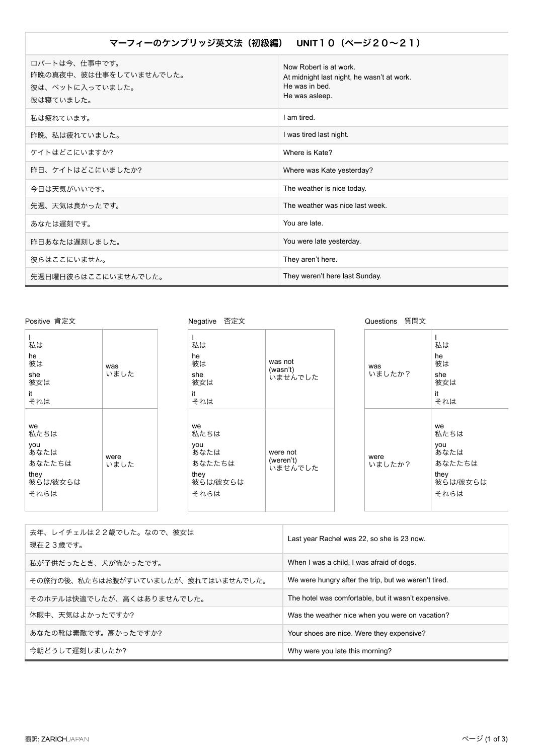| マーフィーのケンブリッジ英文法(初級編) UNIT10(ページ20〜21) |  |
|---------------------------------------|--|
|---------------------------------------|--|

| ロバートは今、仕事中です。<br>昨晩の真夜中、彼は仕事をしていませんでした。<br>彼は、ベットに入っていました。<br>彼は寝ていました。 | Now Robert is at work<br>At midnight last night, he wasn't at work.<br>He was in bed<br>He was asleep. |
|-------------------------------------------------------------------------|--------------------------------------------------------------------------------------------------------|
| 私は疲れています。                                                               | I am tired.                                                                                            |
| 昨晩、私は疲れていました。                                                           | I was tired last night.                                                                                |
| ケイトはどこにいますか?                                                            | Where is Kate?                                                                                         |
| 昨日、ケイトはどこにいましたか?                                                        | Where was Kate yesterday?                                                                              |
| 今日は天気がいいです。                                                             | The weather is nice today.                                                                             |
| 先週、天気は良かったです。                                                           | The weather was nice last week.                                                                        |
| あなたは遅刻です。                                                               | You are late.                                                                                          |
| 昨日あなたは遅刻しました。                                                           | You were late yesterday.                                                                               |
| 彼らはここにいません。                                                             | They aren't here.                                                                                      |
| 先週日曜日彼らはここにいませんでした。                                                     | They weren't here last Sunday.                                                                         |

| Positive 肯定文                                                    | 否定文<br>Negative |                                                                 | 質問文<br>Questions                 |                |                                                                 |
|-----------------------------------------------------------------|-----------------|-----------------------------------------------------------------|----------------------------------|----------------|-----------------------------------------------------------------|
| 私は<br>he<br>彼は<br>she<br>彼女は<br>it<br>それは                       | was<br>いました     | 私は<br>he<br>彼は<br>she<br>彼女は<br>it<br>それは                       | was not<br>(wasn't)<br>いませんでした   | was<br>いましたか?  | 私は<br>he<br>彼は<br>she<br>彼女は<br>it<br>それは                       |
| we<br>私たちは<br>you<br>あなたは<br>あなたたちは<br>they<br>彼らは/彼女らは<br>それらは | were<br>いました    | we<br>私たちは<br>you<br>あなたは<br>あなたたちは<br>they<br>彼らは/彼女らは<br>それらは | were not<br>(weren't)<br>いませんでした | were<br>いましたか? | we<br>私たちは<br>you<br>あなたは<br>あなたたちは<br>they<br>彼らは/彼女らは<br>それらは |

| 去年、レイチェルは22歳でした。なので、彼女は<br>現在23歳です。 | Last year Rachel was 22, so she is 23 now.           |
|-------------------------------------|------------------------------------------------------|
| 私が子供だったとき、犬が怖かったです。                 | When I was a child, I was afraid of dogs.            |
| その旅行の後、私たちはお腹がすいていましたが、疲れてはいませんでした。 | We were hungry after the trip, but we weren't tired. |
| そのホテルは快適でしたが、高くはありませんでした。           | The hotel was comfortable, but it wasn't expensive.  |
| 休暇中、天気はよかったですか?                     | Was the weather nice when you were on vacation?      |
| あなたの靴は素敵です。高かったですか?                 | Your shoes are nice. Were they expensive?            |
| 今朝どうして遅刻しましたか?                      | Why were you late this morning?                      |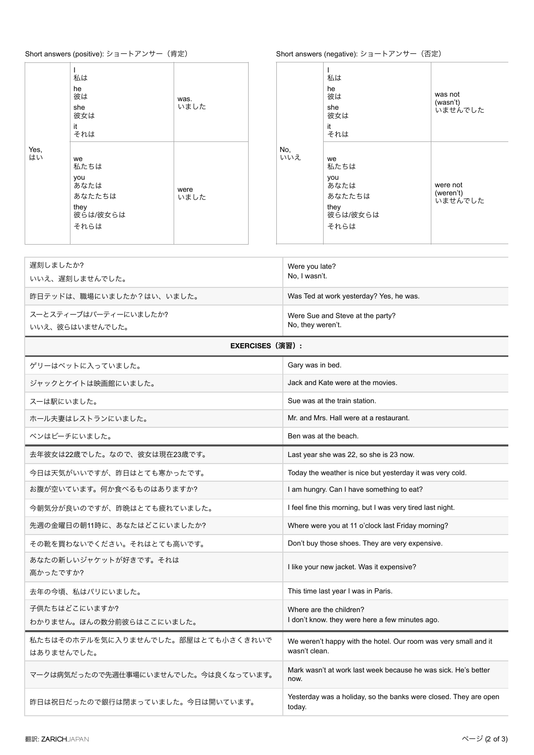## Short answers (positive): ショートアンサー (肯定)

|            | 私は<br>he<br>彼は<br>she<br>彼女は<br>it<br>それは                       | was.<br>いました |            | 私は<br>he<br>彼は<br>she<br>彼女は<br>it<br>それは                       | was not<br>(wasn't)<br>いませんでした   |
|------------|-----------------------------------------------------------------|--------------|------------|-----------------------------------------------------------------|----------------------------------|
| Yes,<br>はい | we<br>私たちは<br>you<br>あなたは<br>あなたたちは<br>they<br>彼らは/彼女らは<br>それらは | were<br>いました | No,<br>いいえ | we<br>私たちは<br>you<br>あなたは<br>あなたたちは<br>they<br>彼らは/彼女らは<br>それらは | were not<br>(weren't)<br>いませんでした |

| 遅刻しましたか?                 | Were you late?                          |
|--------------------------|-----------------------------------------|
| いいえ、遅刻しませんでした。           | No, I wasn't.                           |
| 昨日テッドは、職場にいましたか?はい、いました。 | Was Ted at work yesterday? Yes, he was. |
| スーとスティーブはパーティーにいましたか?    | Were Sue and Steve at the party?        |
| いいえ、彼らはいませんでした。          | No, they weren't.                       |

## **EXERCISES** (演習) :

| ゲリーはベットに入っていました。                                 | Gary was in bed.                                                                 |
|--------------------------------------------------|----------------------------------------------------------------------------------|
| ジャックとケイトは映画館にいました。                               | Jack and Kate were at the movies.                                                |
| スーは駅にいました。                                       | Sue was at the train station.                                                    |
| ホール夫妻はレストランにいました。                                | Mr. and Mrs. Hall were at a restaurant.                                          |
| ベンはビーチにいました。                                     | Ben was at the beach.                                                            |
| 去年彼女は22歳でした。なので、彼女は現在23歳です。                      | Last year she was 22, so she is 23 now.                                          |
| 今日は天気がいいですが、昨日はとても寒かったです。                        | Today the weather is nice but yesterday it was very cold.                        |
| お腹が空いています。何か食べるものはありますか?                         | I am hungry. Can I have something to eat?                                        |
| 今朝気分が良いのですが、昨晩はとても疲れていました。                       | I feel fine this morning, but I was very tired last night.                       |
| 先週の金曜日の朝11時に、あなたはどこにいましたか?                       | Where were you at 11 o'clock last Friday morning?                                |
| その靴を買わないでください。それはとても高いです。                        | Don't buy those shoes. They are very expensive.                                  |
| あなたの新しいジャケットが好きです。それは<br>高かったですか?                | I like your new jacket. Was it expensive?                                        |
| 去年の今頃、私はパリにいました。                                 | This time last year I was in Paris.                                              |
| 子供たちはどこにいますか?<br>わかりません。ほんの数分前彼らはここにいました。        | Where are the children?<br>I don't know, they were here a few minutes ago.       |
| 私たちはそのホテルを気に入りませんでした。部屋はとても小さくきれいで<br>はありませんでした。 | We weren't happy with the hotel. Our room was very small and it<br>wasn't clean. |
| マークは病気だったので先週仕事場にいませんでした。今は良くなっています。             | Mark wasn't at work last week because he was sick. He's better<br>now.           |
| 昨日は祝日だったので銀行は閉まっていました。今日は開いています。                 | Yesterday was a holiday, so the banks were closed. They are open<br>today.       |

## Short answers (negative): ショートアンサー (否定)